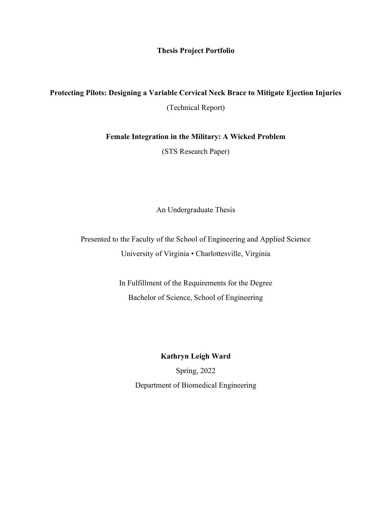Thesis Project Portfolio

## Protecting Pilots: Designing a Variable Cervical Neck Brace to Mitigate Ejection Injuries

(Technical Report)

Female Integration in the Military: A Wicked Problem

(STS Research Paper)

An Undergraduate Thesis

Presented to the Faculty of the School of Engineering and Applied Science University of Virginia • Charlottesville, Virginia

> In Fulfillment of the Requirements for the Degree Bachelor of Science, School of Engineering

> > Kathryn Leigh Ward

Spring, 2022 Department of Biomedical Engineering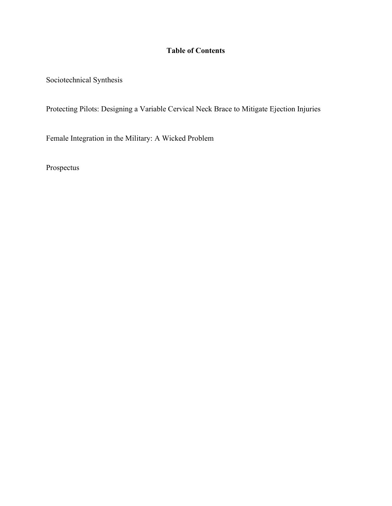## Table of Contents

Sociotechnical Synthesis

Protecting Pilots: Designing a Variable Cervical Neck Brace to Mitigate Ejection Injuries

Female Integration in the Military: A Wicked Problem

Prospectus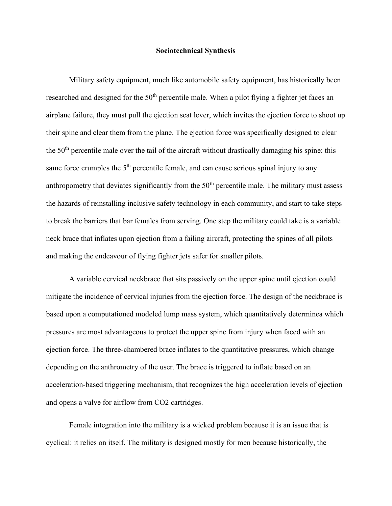## Sociotechnical Synthesis

Military safety equipment, much like automobile safety equipment, has historically been researched and designed for the  $50<sup>th</sup>$  percentile male. When a pilot flying a fighter jet faces an airplane failure, they must pull the ejection seat lever, which invites the ejection force to shoot up their spine and clear them from the plane. The ejection force was specifically designed to clear the  $50<sup>th</sup>$  percentile male over the tail of the aircraft without drastically damaging his spine: this same force crumples the  $5<sup>th</sup>$  percentile female, and can cause serious spinal injury to any anthropometry that deviates significantly from the  $50<sup>th</sup>$  percentile male. The military must assess the hazards of reinstalling inclusive safety technology in each community, and start to take steps to break the barriers that bar females from serving. One step the military could take is a variable neck brace that inflates upon ejection from a failing aircraft, protecting the spines of all pilots and making the endeavour of flying fighter jets safer for smaller pilots.

 A variable cervical neckbrace that sits passively on the upper spine until ejection could mitigate the incidence of cervical injuries from the ejection force. The design of the neckbrace is based upon a computationed modeled lump mass system, which quantitatively determinea which pressures are most advantageous to protect the upper spine from injury when faced with an ejection force. The three-chambered brace inflates to the quantitative pressures, which change depending on the anthrometry of the user. The brace is triggered to inflate based on an acceleration-based triggering mechanism, that recognizes the high acceleration levels of ejection and opens a valve for airflow from CO2 cartridges.

 Female integration into the military is a wicked problem because it is an issue that is cyclical: it relies on itself. The military is designed mostly for men because historically, the